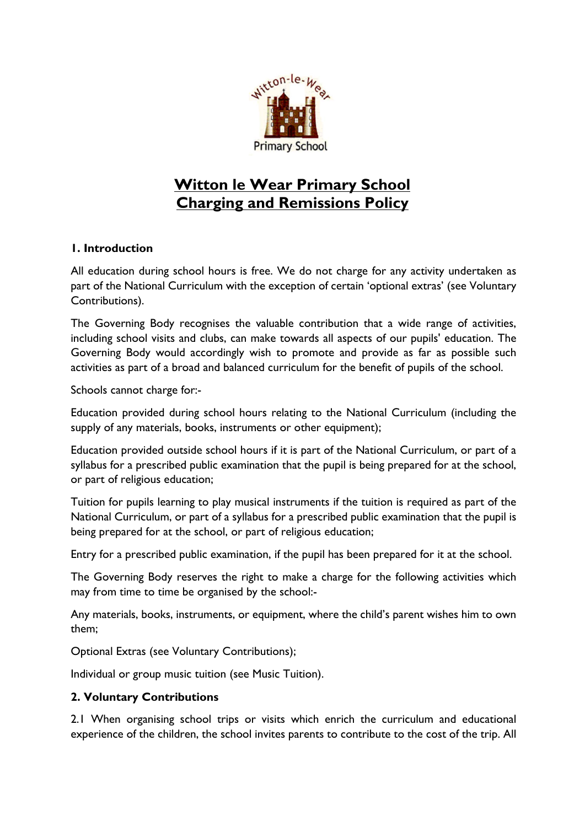

# **Witton le Wear Primary School Charging and Remissions Policy**

# **1. Introduction**

All education during school hours is free. We do not charge for any activity undertaken as part of the National Curriculum with the exception of certain 'optional extras' (see Voluntary Contributions).

The Governing Body recognises the valuable contribution that a wide range of activities, including school visits and clubs, can make towards all aspects of our pupils' education. The Governing Body would accordingly wish to promote and provide as far as possible such activities as part of a broad and balanced curriculum for the benefit of pupils of the school.

Schools cannot charge for:-

Education provided during school hours relating to the National Curriculum (including the supply of any materials, books, instruments or other equipment);

Education provided outside school hours if it is part of the National Curriculum, or part of a syllabus for a prescribed public examination that the pupil is being prepared for at the school, or part of religious education;

Tuition for pupils learning to play musical instruments if the tuition is required as part of the National Curriculum, or part of a syllabus for a prescribed public examination that the pupil is being prepared for at the school, or part of religious education;

Entry for a prescribed public examination, if the pupil has been prepared for it at the school.

The Governing Body reserves the right to make a charge for the following activities which may from time to time be organised by the school:-

Any materials, books, instruments, or equipment, where the child's parent wishes him to own them;

Optional Extras (see Voluntary Contributions);

Individual or group music tuition (see Music Tuition).

## **2. Voluntary Contributions**

2.1 When organising school trips or visits which enrich the curriculum and educational experience of the children, the school invites parents to contribute to the cost of the trip. All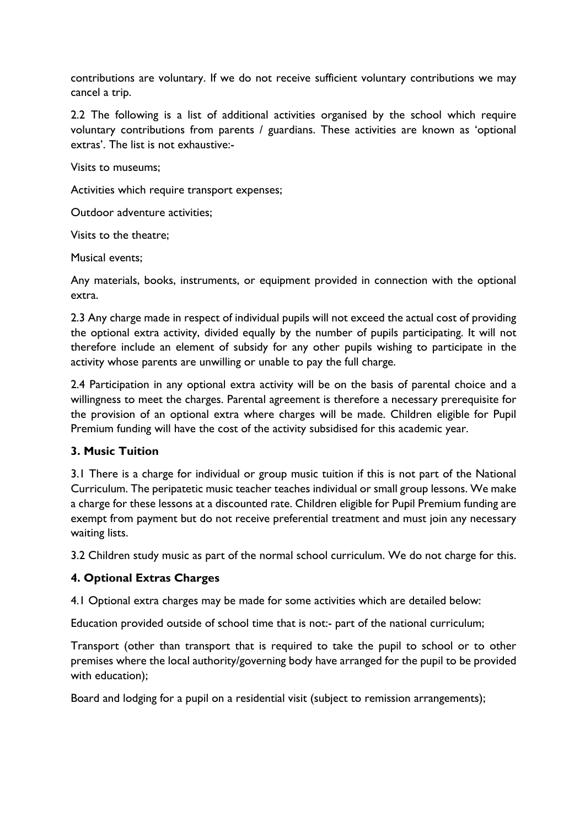contributions are voluntary. If we do not receive sufficient voluntary contributions we may cancel a trip.

2.2 The following is a list of additional activities organised by the school which require voluntary contributions from parents / guardians. These activities are known as 'optional extras'. The list is not exhaustive:-

Visits to museums;

Activities which require transport expenses;

Outdoor adventure activities;

Visits to the theatre;

Musical events;

Any materials, books, instruments, or equipment provided in connection with the optional extra.

2.3 Any charge made in respect of individual pupils will not exceed the actual cost of providing the optional extra activity, divided equally by the number of pupils participating. It will not therefore include an element of subsidy for any other pupils wishing to participate in the activity whose parents are unwilling or unable to pay the full charge.

2.4 Participation in any optional extra activity will be on the basis of parental choice and a willingness to meet the charges. Parental agreement is therefore a necessary prerequisite for the provision of an optional extra where charges will be made. Children eligible for Pupil Premium funding will have the cost of the activity subsidised for this academic year.

## **3. Music Tuition**

3.1 There is a charge for individual or group music tuition if this is not part of the National Curriculum. The peripatetic music teacher teaches individual or small group lessons. We make a charge for these lessons at a discounted rate. Children eligible for Pupil Premium funding are exempt from payment but do not receive preferential treatment and must join any necessary waiting lists.

3.2 Children study music as part of the normal school curriculum. We do not charge for this.

## **4. Optional Extras Charges**

4.1 Optional extra charges may be made for some activities which are detailed below:

Education provided outside of school time that is not:- part of the national curriculum;

Transport (other than transport that is required to take the pupil to school or to other premises where the local authority/governing body have arranged for the pupil to be provided with education);

Board and lodging for a pupil on a residential visit (subject to remission arrangements);